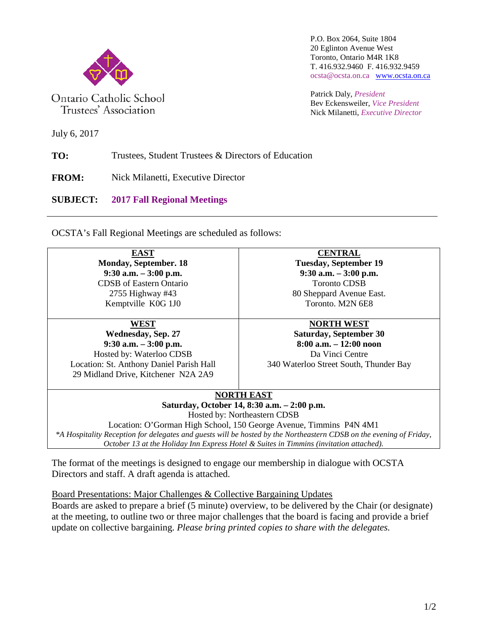

Ontario Catholic School Trustees' Association

P.O. Box 2064, Suite 1804 20 Eglinton Avenue West Toronto, Ontario M4R 1K8 T. 416.932.9460 F. 416.932.9459 ocsta@ocsta.on.ca [www.ocsta.on.ca](http://www.ocsta.on.ca/)

Patrick Daly, *President* Bev Eckensweiler, *Vice President* Nick Milanetti, *Executive Director*

July 6, 2017

**TO:** Trustees, Student Trustees & Directors of Education

**FROM:** Nick Milanetti, Executive Director

**SUBJECT: 2017 Fall Regional Meetings**

OCSTA's Fall Regional Meetings are scheduled as follows:

| <b>EAST</b>                                                                                                         | <b>CENTRAL</b>                              |  |  |  |  |
|---------------------------------------------------------------------------------------------------------------------|---------------------------------------------|--|--|--|--|
| Monday, September. 18                                                                                               | <b>Tuesday, September 19</b>                |  |  |  |  |
| $9:30$ a.m. $-3:00$ p.m.                                                                                            | $9:30$ a.m. $-3:00$ p.m.                    |  |  |  |  |
| <b>CDSB</b> of Eastern Ontario                                                                                      | <b>Toronto CDSB</b>                         |  |  |  |  |
| 2755 Highway $#43$                                                                                                  | 80 Sheppard Avenue East.                    |  |  |  |  |
| Kemptville K0G 1J0                                                                                                  | Toronto. M2N 6E8                            |  |  |  |  |
| WEST                                                                                                                | <b>NORTH WEST</b>                           |  |  |  |  |
| <b>Wednesday, Sep. 27</b>                                                                                           | <b>Saturday, September 30</b>               |  |  |  |  |
| $9:30$ a.m. $-3:00$ p.m.                                                                                            | $8:00$ a.m. $-12:00$ noon                   |  |  |  |  |
| Hosted by: Waterloo CDSB                                                                                            | Da Vinci Centre                             |  |  |  |  |
| Location: St. Anthony Daniel Parish Hall                                                                            | 340 Waterloo Street South, Thunder Bay      |  |  |  |  |
| 29 Midland Drive, Kitchener N2A 2A9                                                                                 |                                             |  |  |  |  |
| <b>NORTH EAST</b>                                                                                                   |                                             |  |  |  |  |
|                                                                                                                     | Saturday, October 14, 8:30 a.m. - 2:00 p.m. |  |  |  |  |
| Hosted by: Northeastern CDSB                                                                                        |                                             |  |  |  |  |
| Location: O'Gorman High School, 150 George Avenue, Timmins P4N 4M1                                                  |                                             |  |  |  |  |
| *A Hospitality Reception for delegates and guests will be hosted by the Northeastern CDSB on the evening of Friday, |                                             |  |  |  |  |
| October 13 at the Holiday Inn Express Hotel & Suites in Timmins (invitation attached).                              |                                             |  |  |  |  |
|                                                                                                                     |                                             |  |  |  |  |

The format of the meetings is designed to engage our membership in dialogue with OCSTA Directors and staff. A draft agenda is attached.

Board Presentations: Major Challenges & Collective Bargaining Updates

Boards are asked to prepare a brief (5 minute) overview, to be delivered by the Chair (or designate) at the meeting, to outline two or three major challenges that the board is facing and provide a brief update on collective bargaining. *Please bring printed copies to share with the delegates.*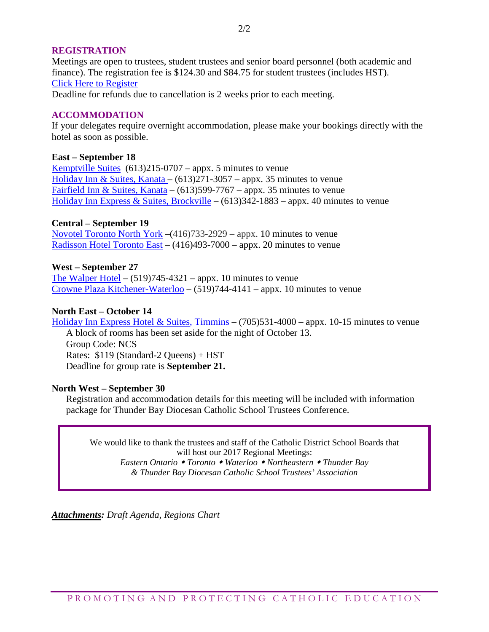## **REGISTRATION**

Meetings are open to trustees, student trustees and senior board personnel (both academic and finance). The registration fee is \$124.30 and \$84.75 for student trustees (includes HST). [Click Here to Register](http://www.ocsta.on.ca/formidable-forms/2017-ocsta-regional-meetings/)

Deadline for refunds due to cancellation is 2 weeks prior to each meeting.

## **ACCOMMODATION**

If your delegates require overnight accommodation, please make your bookings directly with the hotel as soon as possible.

### **East – September 18**

[Kemptville Suites](http://www.kemptvillesuites.ca/) (613)215-0707 – appx. 5 minutes to venue [Holiday Inn & Suites, Kanata –](http://www.hisottawa.ca/)  $(613)271-3057$  – appx. 35 minutes to venue [Fairfield Inn & Suites, Kanata](http://www.marriott.com/hotels/travel/yowfi-fairfield-inn-and-suites-ottawa-kanata/?scid=bb1a189a-fec3-4d19-a255-54ba596febe2) – (613) 599-7767 – appx. 35 minutes to venue [Holiday Inn Express & Suites, Brockville](https://www.ihg.com/holidayinnexpress/hotels/us/en/brockville/xbrok/hoteldetail?cm_mmc=GoogleMaps-_-EX-_-CAN-_-XBROK) – (613)342-1883 – appx. 40 minutes to venue

## **Central – September 19**

[Novotel Toronto North York](http://www.novotel.com/gb/hotel-0910-novotel-toronto-north-york/index.shtml) –(416)733-2929 – appx. 10 minutes to venue <u>[Radisson Hotel Toronto East](https://www.radisson.com/toronto-hotel-on-m2j4r1/ontoreas)</u> –  $(416)493-7000$  – appx. 20 minutes to venue

## **West – September 27**

[The Walper Hotel](http://www.walper.com/) –  $(519)745-4321$  – appx. 10 minutes to venue [Crowne Plaza Kitchener-Waterloo](https://www.crowneplaza.com/hotels/us/en/kitchener/ykfcp/hoteldetail?qAdlt=1&qBrs=6c.hi.ex.rs.ic.cp.in.sb.cw.cv.ul.vn.ki.sp.nd.ct&qChld=0&qFRA=1&qGRM=0&qIta=99504440&qPSt=0&qRRSrt=rt&qRef=df&qRms=1&qRpn=1&qRpp=20&qSHp=1&qSmP=3&qSrt=sBR&qWch=0&srb_u=1&icdv=99504440&sicreative=77515583903983&siclientid=2974&sitrackingid=927387285&dp=true&glat=SEAR) – (519)744-4141 – appx. 10 minutes to venue

## **North East – October 14**

[Holiday Inn Express Hotel & Suites,](https://www.ihg.com/holidayinnexpress/hotels/us/en/timmins/ytsca/hoteldetail) Timmins –  $(705)531-4000$  – appx. 10-15 minutes to venue A block of rooms has been set aside for the night of October 13. Group Code: NCS Rates: \$119 (Standard-2 Queens) + HST Deadline for group rate is **September 21.**

### **North West – September 30**

Registration and accommodation details for this meeting will be included with information package for Thunder Bay Diocesan Catholic School Trustees Conference.

We would like to thank the trustees and staff of the Catholic District School Boards that will host our 2017 Regional Meetings: *Eastern Ontario Toronto Waterloo Northeastern Thunder Bay*

*& Thunder Bay Diocesan Catholic School Trustees' Association*

*Attachments: Draft Agenda, Regions Chart*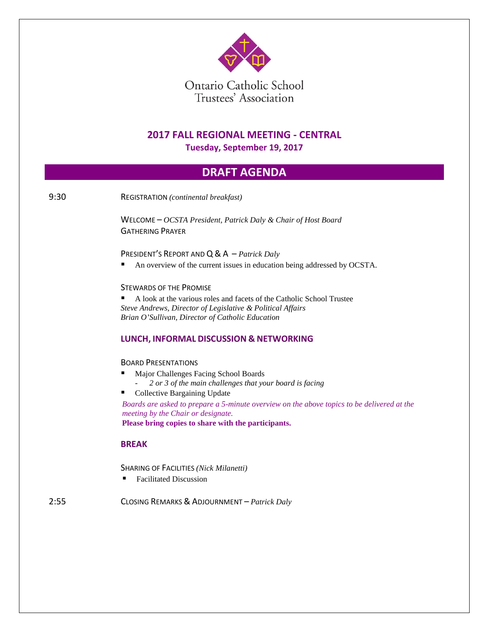

# **2017 FALL REGIONAL MEETING - CENTRAL**

**Tuesday, September 19, 2017**

## **DRAFT AGENDA**

9:30 REGISTRATION *(continental breakfast)*

WELCOME – *OCSTA President, Patrick Daly & Chair of Host Board* GATHERING PRAYER

### PRESIDENT'S REPORT AND Q& A – *Patrick Daly*

An overview of the current issues in education being addressed by OCSTA.

### STEWARDS OF THE PROMISE

 A look at the various roles and facets of the Catholic School Trustee *Steve Andrews, Director of Legislative & Political Affairs Brian O'Sullivan, Director of Catholic Education*

### **LUNCH, INFORMAL DISCUSSION & NETWORKING**

#### BOARD PRESENTATIONS

- Major Challenges Facing School Boards
	- *2 or 3 of the main challenges that your board is facing*
- Collective Bargaining Update

*Boards are asked to prepare a 5-minute overview on the above topics to be delivered at the meeting by the Chair or designate.* **Please bring copies to share with the participants.**

### **BREAK**

SHARING OF FACILITIES *(Nick Milanetti)*

Facilitated Discussion

2:55 CLOSING REMARKS & ADJOURNMENT – *Patrick Daly*